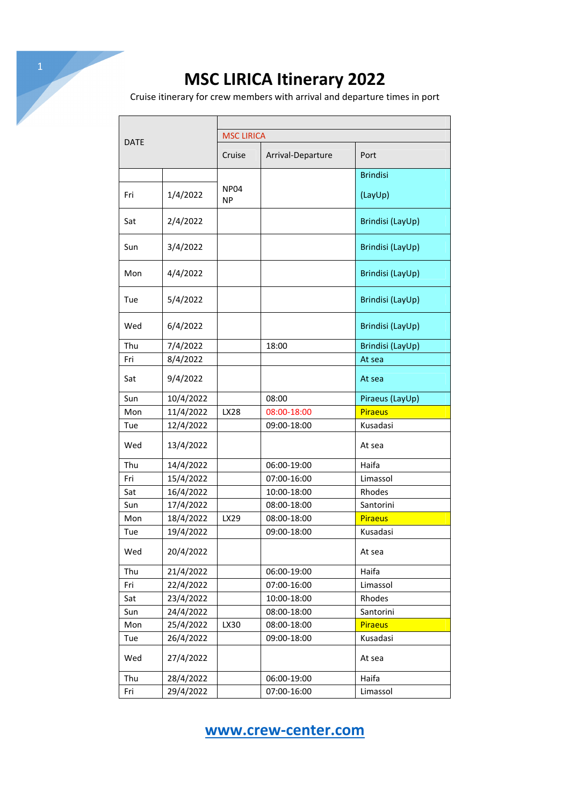Cruise itinerary for crew members with arrival and departure times in port

| <b>DATE</b> |           |                               |                   |                  |  |
|-------------|-----------|-------------------------------|-------------------|------------------|--|
|             |           | <b>MSC LIRICA</b>             |                   |                  |  |
|             |           | Cruise                        | Arrival-Departure | Port             |  |
|             |           |                               |                   | <b>Brindisi</b>  |  |
| Fri         | 1/4/2022  | NP <sub>04</sub><br><b>NP</b> |                   | (LayUp)          |  |
| Sat         | 2/4/2022  |                               |                   | Brindisi (LayUp) |  |
| Sun         | 3/4/2022  |                               |                   | Brindisi (LayUp) |  |
| Mon         | 4/4/2022  |                               |                   | Brindisi (LayUp) |  |
| Tue         | 5/4/2022  |                               |                   | Brindisi (LayUp) |  |
| Wed         | 6/4/2022  |                               |                   | Brindisi (LayUp) |  |
| Thu         | 7/4/2022  |                               | 18:00             | Brindisi (LayUp) |  |
| Fri         | 8/4/2022  |                               |                   | At sea           |  |
| Sat         | 9/4/2022  |                               |                   | At sea           |  |
| Sun         | 10/4/2022 |                               | 08:00             | Piraeus (LayUp)  |  |
| Mon         | 11/4/2022 | LX28                          | 08:00-18:00       | <b>Piraeus</b>   |  |
| Tue         | 12/4/2022 |                               | 09:00-18:00       | Kusadasi         |  |
| Wed         | 13/4/2022 |                               |                   | At sea           |  |
| Thu         | 14/4/2022 |                               | 06:00-19:00       | Haifa            |  |
| Fri         | 15/4/2022 |                               | 07:00-16:00       | Limassol         |  |
| Sat         | 16/4/2022 |                               | 10:00-18:00       | Rhodes           |  |
| Sun         | 17/4/2022 |                               | 08:00-18:00       | Santorini        |  |
| Mon         | 18/4/2022 | LX29                          | 08:00-18:00       | <b>Piraeus</b>   |  |
| Tue         | 19/4/2022 |                               | 09:00-18:00       | Kusadasi         |  |
| Wed         | 20/4/2022 |                               |                   | At sea           |  |
| Thu         | 21/4/2022 |                               | 06:00-19:00       | Haifa            |  |
| Fri         | 22/4/2022 |                               | 07:00-16:00       | Limassol         |  |
| Sat         | 23/4/2022 |                               | 10:00-18:00       | Rhodes           |  |
| Sun         | 24/4/2022 |                               | 08:00-18:00       | Santorini        |  |
| Mon         | 25/4/2022 | LX30                          | 08:00-18:00       | <b>Piraeus</b>   |  |
| Tue         | 26/4/2022 |                               | 09:00-18:00       | Kusadasi         |  |
| Wed         | 27/4/2022 |                               |                   | At sea           |  |
| Thu         | 28/4/2022 |                               | 06:00-19:00       | Haifa            |  |
| Fri         | 29/4/2022 |                               | 07:00-16:00       | Limassol         |  |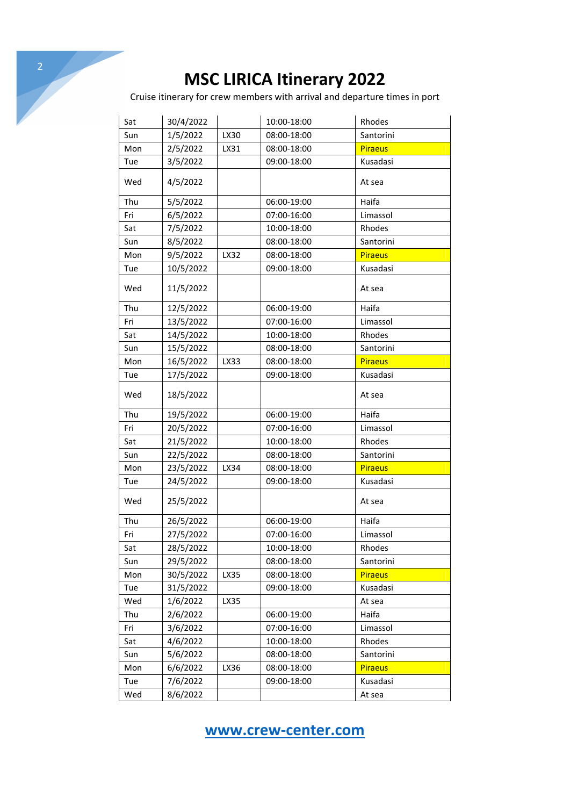Cruise itinerary for crew members with arrival and departure times in port

| Sat | 30/4/2022 |      | 10:00-18:00 | Rhodes         |
|-----|-----------|------|-------------|----------------|
| Sun | 1/5/2022  | LX30 | 08:00-18:00 | Santorini      |
| Mon | 2/5/2022  | LX31 | 08:00-18:00 | <b>Piraeus</b> |
| Tue | 3/5/2022  |      | 09:00-18:00 | Kusadasi       |
| Wed | 4/5/2022  |      |             | At sea         |
| Thu | 5/5/2022  |      | 06:00-19:00 | Haifa          |
| Fri | 6/5/2022  |      | 07:00-16:00 | Limassol       |
| Sat | 7/5/2022  |      | 10:00-18:00 | Rhodes         |
| Sun | 8/5/2022  |      | 08:00-18:00 | Santorini      |
| Mon | 9/5/2022  | LX32 | 08:00-18:00 | <b>Piraeus</b> |
| Tue | 10/5/2022 |      | 09:00-18:00 | Kusadasi       |
| Wed | 11/5/2022 |      |             | At sea         |
| Thu | 12/5/2022 |      | 06:00-19:00 | Haifa          |
| Fri | 13/5/2022 |      | 07:00-16:00 | Limassol       |
| Sat | 14/5/2022 |      | 10:00-18:00 | Rhodes         |
| Sun | 15/5/2022 |      | 08:00-18:00 | Santorini      |
| Mon | 16/5/2022 | LX33 | 08:00-18:00 | <b>Piraeus</b> |
| Tue | 17/5/2022 |      | 09:00-18:00 | Kusadasi       |
| Wed | 18/5/2022 |      |             | At sea         |
| Thu | 19/5/2022 |      | 06:00-19:00 | Haifa          |
| Fri | 20/5/2022 |      | 07:00-16:00 | Limassol       |
| Sat | 21/5/2022 |      | 10:00-18:00 | Rhodes         |
| Sun | 22/5/2022 |      | 08:00-18:00 | Santorini      |
| Mon | 23/5/2022 | LX34 | 08:00-18:00 | <b>Piraeus</b> |
| Tue | 24/5/2022 |      | 09:00-18:00 | Kusadasi       |
| Wed | 25/5/2022 |      |             | At sea         |
| Thu | 26/5/2022 |      | 06:00-19:00 | Haifa          |
| Fri | 27/5/2022 |      | 07:00-16:00 | Limassol       |
| Sat | 28/5/2022 |      | 10:00-18:00 | Rhodes         |
| Sun | 29/5/2022 |      | 08:00-18:00 | Santorini      |
| Mon | 30/5/2022 | LX35 | 08:00-18:00 | <b>Piraeus</b> |
| Tue | 31/5/2022 |      | 09:00-18:00 | Kusadasi       |
| Wed | 1/6/2022  | LX35 |             | At sea         |
| Thu | 2/6/2022  |      | 06:00-19:00 | Haifa          |
| Fri | 3/6/2022  |      | 07:00-16:00 | Limassol       |
| Sat | 4/6/2022  |      | 10:00-18:00 | Rhodes         |
| Sun | 5/6/2022  |      | 08:00-18:00 | Santorini      |
| Mon | 6/6/2022  | LX36 | 08:00-18:00 | <b>Piraeus</b> |
| Tue | 7/6/2022  |      | 09:00-18:00 | Kusadasi       |
| Wed | 8/6/2022  |      |             | At sea         |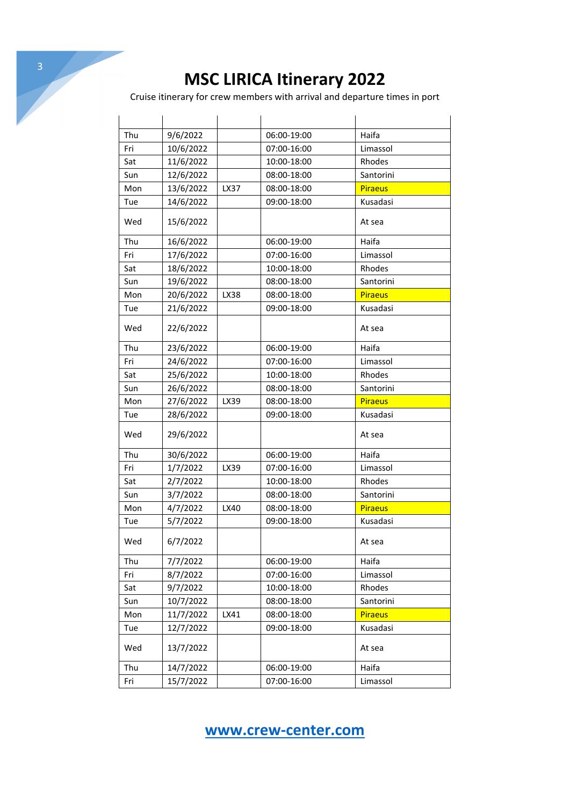Cruise itinerary for crew members with arrival and departure times in port

| Thu | 9/6/2022  |      | 06:00-19:00 | Haifa          |
|-----|-----------|------|-------------|----------------|
| Fri | 10/6/2022 |      | 07:00-16:00 | Limassol       |
| Sat | 11/6/2022 |      | 10:00-18:00 | Rhodes         |
| Sun | 12/6/2022 |      | 08:00-18:00 | Santorini      |
| Mon | 13/6/2022 | LX37 | 08:00-18:00 | <b>Piraeus</b> |
| Tue | 14/6/2022 |      | 09:00-18:00 | Kusadasi       |
| Wed | 15/6/2022 |      |             | At sea         |
| Thu | 16/6/2022 |      | 06:00-19:00 | Haifa          |
| Fri | 17/6/2022 |      | 07:00-16:00 | Limassol       |
| Sat | 18/6/2022 |      | 10:00-18:00 | Rhodes         |
| Sun | 19/6/2022 |      | 08:00-18:00 | Santorini      |
| Mon | 20/6/2022 | LX38 | 08:00-18:00 | <b>Piraeus</b> |
| Tue | 21/6/2022 |      | 09:00-18:00 | Kusadasi       |
| Wed | 22/6/2022 |      |             | At sea         |
| Thu | 23/6/2022 |      | 06:00-19:00 | Haifa          |
| Fri | 24/6/2022 |      | 07:00-16:00 | Limassol       |
| Sat | 25/6/2022 |      | 10:00-18:00 | Rhodes         |
| Sun | 26/6/2022 |      | 08:00-18:00 | Santorini      |
| Mon | 27/6/2022 | LX39 | 08:00-18:00 | <b>Piraeus</b> |
| Tue | 28/6/2022 |      | 09:00-18:00 | Kusadasi       |
| Wed | 29/6/2022 |      |             | At sea         |
| Thu | 30/6/2022 |      | 06:00-19:00 | Haifa          |
| Fri | 1/7/2022  | LX39 | 07:00-16:00 | Limassol       |
| Sat | 2/7/2022  |      | 10:00-18:00 | Rhodes         |
| Sun | 3/7/2022  |      | 08:00-18:00 | Santorini      |
| Mon | 4/7/2022  | LX40 | 08:00-18:00 | <b>Piraeus</b> |
| Tue | 5/7/2022  |      | 09:00-18:00 | Kusadasi       |
| Wed | 6/7/2022  |      |             | At sea         |
| Thu | 7/7/2022  |      | 06:00-19:00 | Haifa          |
| Fri | 8/7/2022  |      | 07:00-16:00 | Limassol       |
| Sat | 9/7/2022  |      | 10:00-18:00 | Rhodes         |
| Sun | 10/7/2022 |      | 08:00-18:00 | Santorini      |
| Mon | 11/7/2022 | LX41 | 08:00-18:00 | <b>Piraeus</b> |
| Tue | 12/7/2022 |      | 09:00-18:00 | Kusadasi       |
| Wed | 13/7/2022 |      |             | At sea         |
| Thu | 14/7/2022 |      | 06:00-19:00 | Haifa          |
| Fri | 15/7/2022 |      | 07:00-16:00 | Limassol       |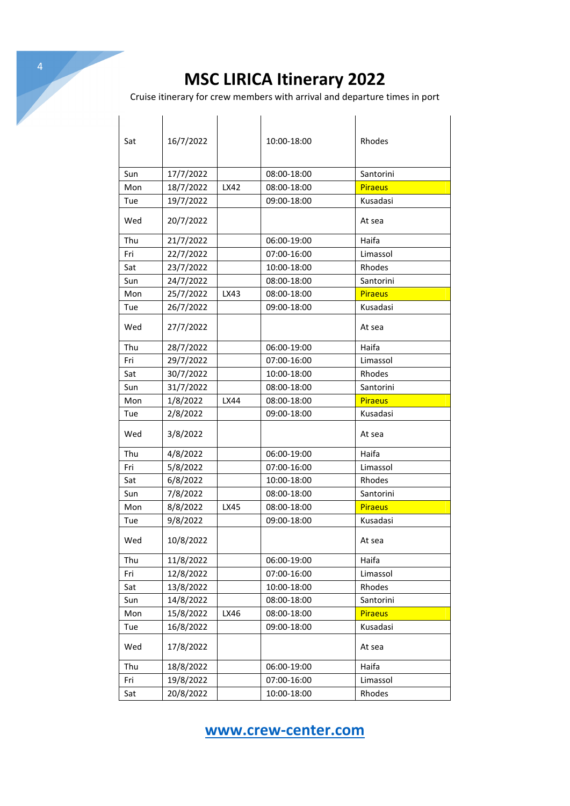4

Cruise itinerary for crew members with arrival and departure times in port

| Sat | 16/7/2022 |      | 10:00-18:00 | Rhodes         |
|-----|-----------|------|-------------|----------------|
| Sun | 17/7/2022 |      | 08:00-18:00 | Santorini      |
| Mon | 18/7/2022 | LX42 | 08:00-18:00 | <b>Piraeus</b> |
| Tue | 19/7/2022 |      | 09:00-18:00 | Kusadasi       |
| Wed | 20/7/2022 |      |             | At sea         |
| Thu | 21/7/2022 |      | 06:00-19:00 | Haifa          |
| Fri | 22/7/2022 |      | 07:00-16:00 | Limassol       |
| Sat | 23/7/2022 |      | 10:00-18:00 | Rhodes         |
| Sun | 24/7/2022 |      | 08:00-18:00 | Santorini      |
| Mon | 25/7/2022 | LX43 | 08:00-18:00 | <b>Piraeus</b> |
| Tue | 26/7/2022 |      | 09:00-18:00 | Kusadasi       |
| Wed | 27/7/2022 |      |             | At sea         |
| Thu | 28/7/2022 |      | 06:00-19:00 | Haifa          |
| Fri | 29/7/2022 |      | 07:00-16:00 | Limassol       |
| Sat | 30/7/2022 |      | 10:00-18:00 | Rhodes         |
| Sun | 31/7/2022 |      | 08:00-18:00 | Santorini      |
| Mon | 1/8/2022  | LX44 | 08:00-18:00 | <b>Piraeus</b> |
| Tue | 2/8/2022  |      | 09:00-18:00 | Kusadasi       |
| Wed | 3/8/2022  |      |             | At sea         |
| Thu | 4/8/2022  |      | 06:00-19:00 | Haifa          |
| Fri | 5/8/2022  |      | 07:00-16:00 | Limassol       |
| Sat | 6/8/2022  |      | 10:00-18:00 | Rhodes         |
| Sun | 7/8/2022  |      | 08:00-18:00 | Santorini      |
| Mon | 8/8/2022  | LX45 | 08:00-18:00 | <b>Piraeus</b> |
| Tue | 9/8/2022  |      | 09:00-18:00 | Kusadasi       |
| Wed | 10/8/2022 |      |             | At sea         |
| Thu | 11/8/2022 |      | 06:00-19:00 | Haifa          |
| Fri | 12/8/2022 |      | 07:00-16:00 | Limassol       |
| Sat | 13/8/2022 |      | 10:00-18:00 | Rhodes         |
| Sun | 14/8/2022 |      | 08:00-18:00 | Santorini      |
| Mon | 15/8/2022 | LX46 | 08:00-18:00 | <b>Piraeus</b> |
| Tue | 16/8/2022 |      | 09:00-18:00 | Kusadasi       |
| Wed | 17/8/2022 |      |             | At sea         |
| Thu | 18/8/2022 |      | 06:00-19:00 | Haifa          |
| Fri | 19/8/2022 |      | 07:00-16:00 | Limassol       |
| Sat | 20/8/2022 |      | 10:00-18:00 | Rhodes         |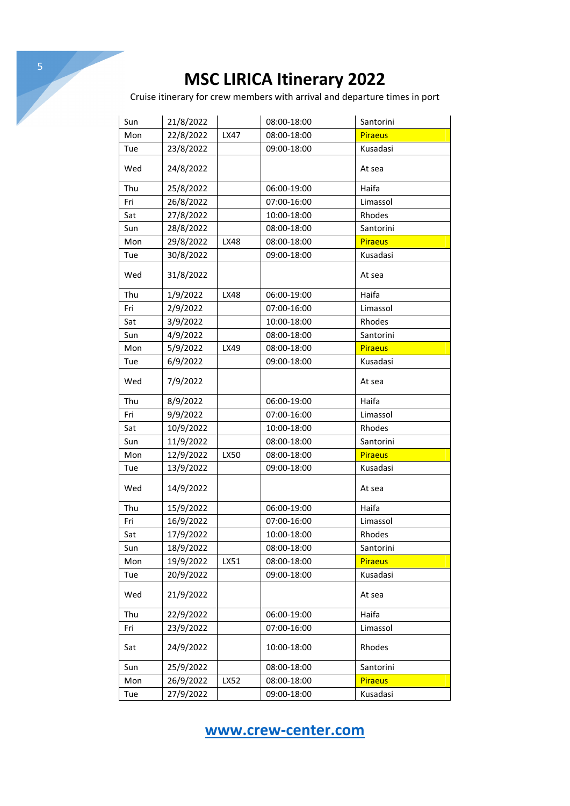Cruise itinerary for crew members with arrival and departure times in port

| Sun | 21/8/2022 |             | 08:00-18:00 | Santorini      |
|-----|-----------|-------------|-------------|----------------|
| Mon | 22/8/2022 | LX47        | 08:00-18:00 | <b>Piraeus</b> |
| Tue | 23/8/2022 |             | 09:00-18:00 | Kusadasi       |
| Wed | 24/8/2022 |             |             | At sea         |
| Thu | 25/8/2022 |             | 06:00-19:00 | Haifa          |
| Fri | 26/8/2022 |             | 07:00-16:00 | Limassol       |
| Sat | 27/8/2022 |             | 10:00-18:00 | Rhodes         |
| Sun | 28/8/2022 |             | 08:00-18:00 | Santorini      |
| Mon | 29/8/2022 | <b>LX48</b> | 08:00-18:00 | <b>Piraeus</b> |
| Tue | 30/8/2022 |             | 09:00-18:00 | Kusadasi       |
| Wed | 31/8/2022 |             |             | At sea         |
| Thu | 1/9/2022  | LX48        | 06:00-19:00 | Haifa          |
| Fri | 2/9/2022  |             | 07:00-16:00 | Limassol       |
| Sat | 3/9/2022  |             | 10:00-18:00 | Rhodes         |
| Sun | 4/9/2022  |             | 08:00-18:00 | Santorini      |
| Mon | 5/9/2022  | LX49        | 08:00-18:00 | <b>Piraeus</b> |
| Tue | 6/9/2022  |             | 09:00-18:00 | Kusadasi       |
| Wed | 7/9/2022  |             |             | At sea         |
| Thu | 8/9/2022  |             | 06:00-19:00 | Haifa          |
| Fri | 9/9/2022  |             | 07:00-16:00 | Limassol       |
| Sat | 10/9/2022 |             | 10:00-18:00 | Rhodes         |
| Sun | 11/9/2022 |             | 08:00-18:00 | Santorini      |
| Mon | 12/9/2022 | LX50        | 08:00-18:00 | <b>Piraeus</b> |
| Tue | 13/9/2022 |             | 09:00-18:00 | Kusadasi       |
| Wed | 14/9/2022 |             |             | At sea         |
| Thu | 15/9/2022 |             | 06:00-19:00 | Haifa          |
| Fri | 16/9/2022 |             | 07:00-16:00 | Limassol       |
| Sat | 17/9/2022 |             | 10:00-18:00 | Rhodes         |
| Sun | 18/9/2022 |             | 08:00-18:00 | Santorini      |
| Mon | 19/9/2022 | LX51        | 08:00-18:00 | <b>Piraeus</b> |
| Tue | 20/9/2022 |             | 09:00-18:00 | Kusadasi       |
| Wed | 21/9/2022 |             |             | At sea         |
| Thu | 22/9/2022 |             | 06:00-19:00 | Haifa          |
| Fri | 23/9/2022 |             | 07:00-16:00 | Limassol       |
| Sat | 24/9/2022 |             | 10:00-18:00 | Rhodes         |
| Sun | 25/9/2022 |             | 08:00-18:00 | Santorini      |
| Mon | 26/9/2022 | LX52        | 08:00-18:00 | <b>Piraeus</b> |
| Tue | 27/9/2022 |             | 09:00-18:00 | Kusadasi       |

**www.crew-center.com**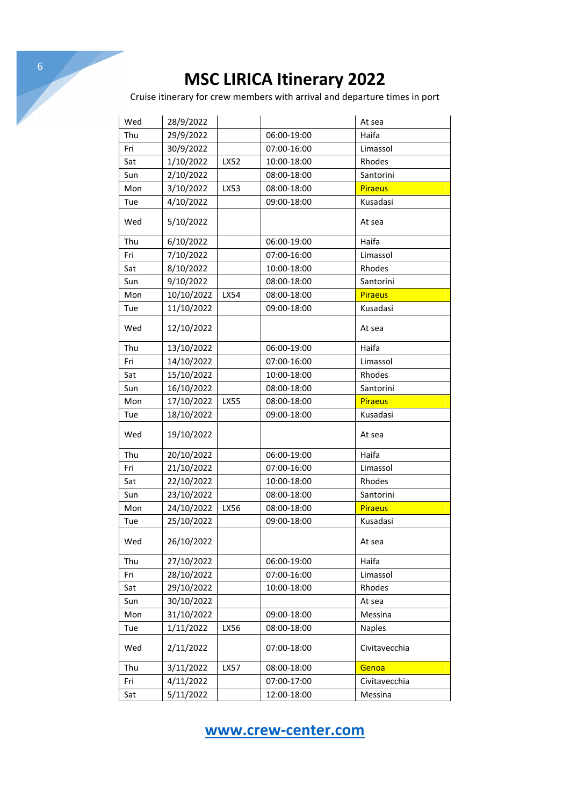Cruise itinerary for crew members with arrival and departure times in port

| Wed | 28/9/2022  |      |             | At sea         |
|-----|------------|------|-------------|----------------|
| Thu | 29/9/2022  |      | 06:00-19:00 | Haifa          |
| Fri | 30/9/2022  |      | 07:00-16:00 | Limassol       |
| Sat | 1/10/2022  | LX52 | 10:00-18:00 | Rhodes         |
| Sun | 2/10/2022  |      | 08:00-18:00 | Santorini      |
| Mon | 3/10/2022  | LX53 | 08:00-18:00 | <b>Piraeus</b> |
| Tue | 4/10/2022  |      | 09:00-18:00 | Kusadasi       |
| Wed | 5/10/2022  |      |             | At sea         |
| Thu | 6/10/2022  |      | 06:00-19:00 | Haifa          |
| Fri | 7/10/2022  |      | 07:00-16:00 | Limassol       |
| Sat | 8/10/2022  |      | 10:00-18:00 | Rhodes         |
| Sun | 9/10/2022  |      | 08:00-18:00 | Santorini      |
| Mon | 10/10/2022 | LX54 | 08:00-18:00 | <b>Piraeus</b> |
| Tue | 11/10/2022 |      | 09:00-18:00 | Kusadasi       |
| Wed | 12/10/2022 |      |             | At sea         |
| Thu | 13/10/2022 |      | 06:00-19:00 | Haifa          |
| Fri | 14/10/2022 |      | 07:00-16:00 | Limassol       |
| Sat | 15/10/2022 |      | 10:00-18:00 | Rhodes         |
| Sun | 16/10/2022 |      | 08:00-18:00 | Santorini      |
| Mon | 17/10/2022 | LX55 | 08:00-18:00 | <b>Piraeus</b> |
| Tue | 18/10/2022 |      | 09:00-18:00 | Kusadasi       |
| Wed | 19/10/2022 |      |             | At sea         |
| Thu | 20/10/2022 |      | 06:00-19:00 | Haifa          |
| Fri | 21/10/2022 |      | 07:00-16:00 | Limassol       |
| Sat | 22/10/2022 |      | 10:00-18:00 | Rhodes         |
| Sun | 23/10/2022 |      | 08:00-18:00 | Santorini      |
| Mon | 24/10/2022 | LX56 | 08:00-18:00 | Piraeus        |
| Tue | 25/10/2022 |      | 09:00-18:00 | Kusadasi       |
| Wed | 26/10/2022 |      |             | At sea         |
| Thu | 27/10/2022 |      | 06:00-19:00 | Haifa          |
| Fri | 28/10/2022 |      | 07:00-16:00 | Limassol       |
| Sat | 29/10/2022 |      | 10:00-18:00 | Rhodes         |
| Sun | 30/10/2022 |      |             | At sea         |
| Mon | 31/10/2022 |      | 09:00-18:00 | Messina        |
| Tue | 1/11/2022  | LX56 | 08:00-18:00 | <b>Naples</b>  |
| Wed | 2/11/2022  |      | 07:00-18:00 | Civitavecchia  |
| Thu | 3/11/2022  | LX57 | 08:00-18:00 | Genoa          |
| Fri | 4/11/2022  |      | 07:00-17:00 | Civitavecchia  |
| Sat | 5/11/2022  |      | 12:00-18:00 | Messina        |

**www.crew-center.com**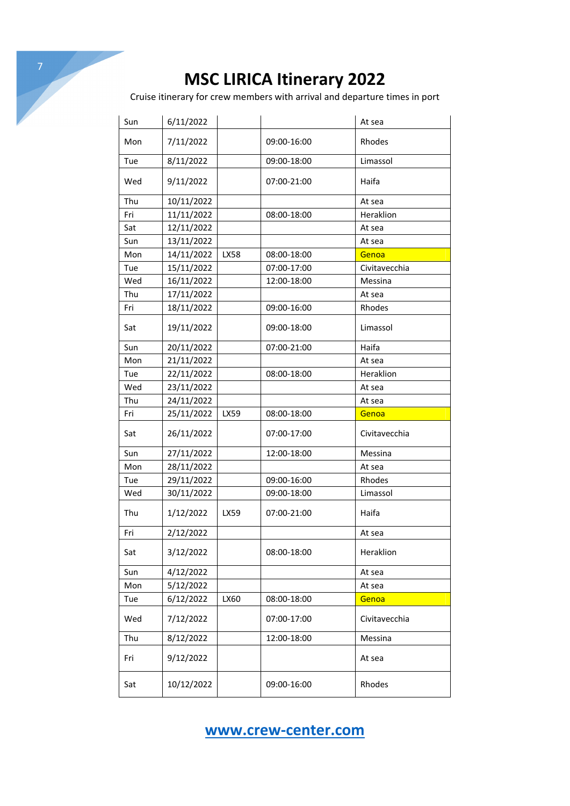Cruise itinerary for crew members with arrival and departure times in port

| Sun | 6/11/2022  |      |             | At sea        |
|-----|------------|------|-------------|---------------|
| Mon | 7/11/2022  |      | 09:00-16:00 | Rhodes        |
| Tue | 8/11/2022  |      | 09:00-18:00 | Limassol      |
| Wed | 9/11/2022  |      | 07:00-21:00 | Haifa         |
| Thu | 10/11/2022 |      |             | At sea        |
| Fri | 11/11/2022 |      | 08:00-18:00 | Heraklion     |
| Sat | 12/11/2022 |      |             | At sea        |
| Sun | 13/11/2022 |      |             | At sea        |
| Mon | 14/11/2022 | LX58 | 08:00-18:00 | Genoa         |
| Tue | 15/11/2022 |      | 07:00-17:00 | Civitavecchia |
| Wed | 16/11/2022 |      | 12:00-18:00 | Messina       |
| Thu | 17/11/2022 |      |             | At sea        |
| Fri | 18/11/2022 |      | 09:00-16:00 | Rhodes        |
| Sat | 19/11/2022 |      | 09:00-18:00 | Limassol      |
| Sun | 20/11/2022 |      | 07:00-21:00 | Haifa         |
| Mon | 21/11/2022 |      |             | At sea        |
| Tue | 22/11/2022 |      | 08:00-18:00 | Heraklion     |
| Wed | 23/11/2022 |      |             | At sea        |
| Thu | 24/11/2022 |      |             | At sea        |
| Fri | 25/11/2022 | LX59 | 08:00-18:00 | Genoa         |
| Sat | 26/11/2022 |      | 07:00-17:00 | Civitavecchia |
| Sun | 27/11/2022 |      | 12:00-18:00 | Messina       |
| Mon | 28/11/2022 |      |             | At sea        |
| Tue | 29/11/2022 |      | 09:00-16:00 | Rhodes        |
| Wed | 30/11/2022 |      | 09:00-18:00 | Limassol      |
| Thu | 1/12/2022  | LX59 | 07:00-21:00 | Haifa         |
| Fri | 2/12/2022  |      |             | At sea        |
| Sat | 3/12/2022  |      | 08:00-18:00 | Heraklion     |
| Sun | 4/12/2022  |      |             | At sea        |
| Mon | 5/12/2022  |      |             | At sea        |
| Tue | 6/12/2022  | LX60 | 08:00-18:00 | Genoa         |
| Wed | 7/12/2022  |      | 07:00-17:00 | Civitavecchia |
| Thu | 8/12/2022  |      | 12:00-18:00 | Messina       |
| Fri | 9/12/2022  |      |             | At sea        |
| Sat | 10/12/2022 |      | 09:00-16:00 | Rhodes        |